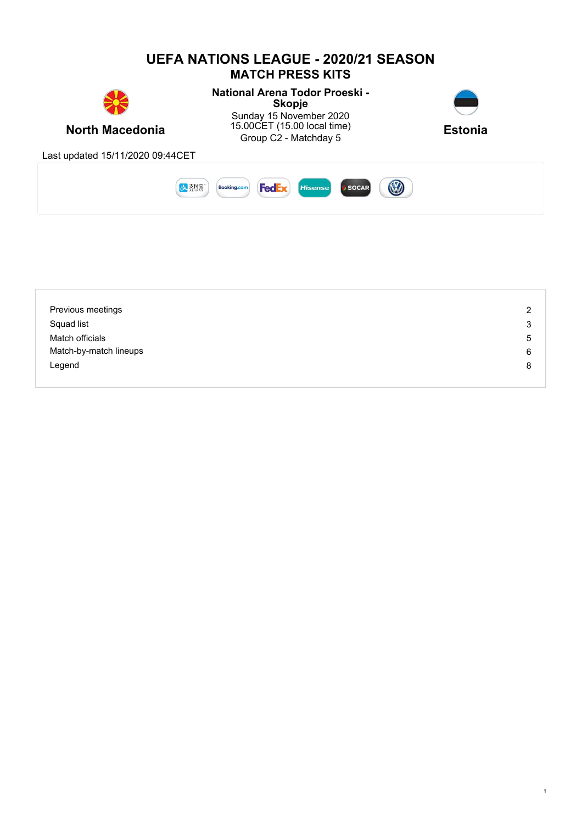

| Previous meetings      | $\overline{2}$ |
|------------------------|----------------|
| Squad list             | 3              |
| Match officials        | 5              |
| Match-by-match lineups | 6              |
| Legend                 | 8              |
|                        |                |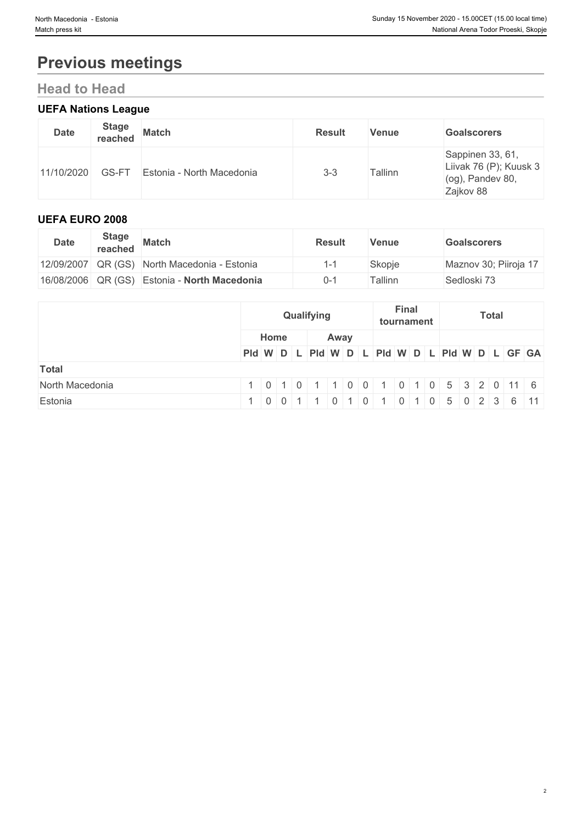# **Previous meetings**

## **Head to Head**

## **UEFA Nations League**

| <b>Date</b> | <b>Stage</b><br>reached | <b>Match</b>              | <b>Result</b> | <b>Venue</b> | <b>Goalscorers</b>                                                          |
|-------------|-------------------------|---------------------------|---------------|--------------|-----------------------------------------------------------------------------|
| 11/10/2020  | GS-FT                   | Estonia - North Macedonia | $3 - 3$       | Tallinn      | Sappinen 33, 61,<br>Liivak 76 (P); Kuusk 3<br>(og), Pandev 80,<br>Zajkov 88 |

#### **UEFA EURO 2008**

| <b>Date</b> | <b>Stage</b><br>reached | <b>Match</b>                                 | <b>Result</b> | Venue               | <b>Goalscorers</b>    |
|-------------|-------------------------|----------------------------------------------|---------------|---------------------|-----------------------|
|             |                         | 12/09/2007 QR (GS) North Macedonia - Estonia |               | Skopje              | Maznov 30; Piiroja 17 |
|             |                         | 16/08/2006 QR (GS) Estonia - North Macedonia | 0-1           | <sup>-</sup> allinn | Sedloski 73           |

|                 | Qualifying<br>Home<br>Away |                                  | <b>Final</b><br><b>Total</b><br>tournament |                                               |  |
|-----------------|----------------------------|----------------------------------|--------------------------------------------|-----------------------------------------------|--|
|                 |                            |                                  |                                            |                                               |  |
|                 |                            |                                  |                                            | Pid W D L Pid W D L Pid W D L Pid W D L GF GA |  |
| <b>Total</b>    |                            |                                  |                                            |                                               |  |
| North Macedonia |                            |                                  |                                            | 1 0 0 1 0 1 0 5 3 2 0 11 6                    |  |
| Estonia         |                            | 0 <sub>1</sub><br>$\overline{1}$ |                                            | $ 0 $ 1 0 1 0 5 0 2 3 6 11                    |  |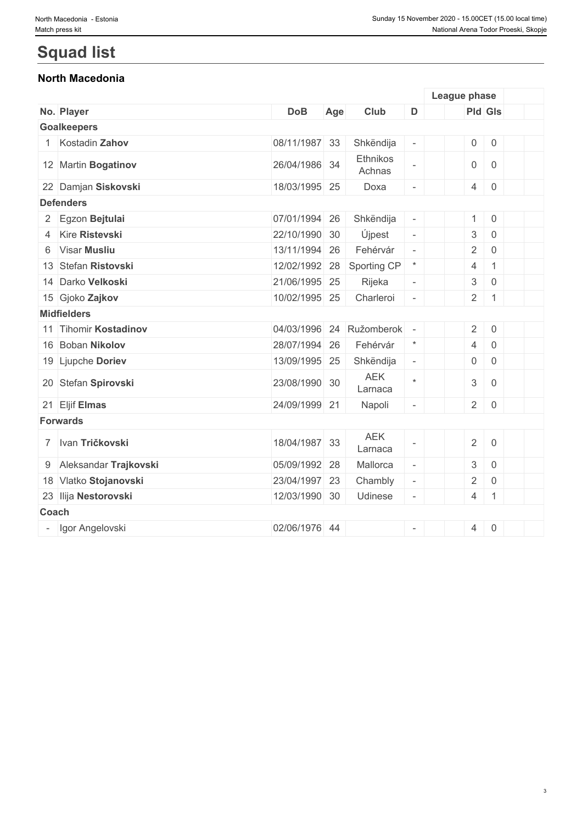# **Squad list**

## **North Macedonia**

|                         |               |     |                       |                          | League phase              |                     |  |
|-------------------------|---------------|-----|-----------------------|--------------------------|---------------------------|---------------------|--|
| No. Player              | <b>DoB</b>    | Age | Club                  | D                        | Pld Gls                   |                     |  |
| <b>Goalkeepers</b>      |               |     |                       |                          |                           |                     |  |
| Kostadin Zahov          | 08/11/1987 33 |     | Shkëndija             | $\overline{\phantom{a}}$ | $\boldsymbol{0}$          | $\mathsf 0$         |  |
| 12 Martin Bogatinov     | 26/04/1986 34 |     | Ethnikos<br>Achnas    | $\overline{\phantom{a}}$ | $\mathsf{O}$              | $\overline{0}$      |  |
| 22 Damjan Siskovski     | 18/03/1995 25 |     | Doxa                  | $\overline{\phantom{a}}$ | $\overline{4}$            | $\overline{0}$      |  |
| <b>Defenders</b>        |               |     |                       |                          |                           |                     |  |
| 2 Egzon Bejtulai        | 07/01/1994 26 |     | Shkëndija             | $\overline{\phantom{a}}$ | 1                         | $\,0\,$             |  |
| 4 Kire Ristevski        | 22/10/1990 30 |     | Újpest                | $\omega$                 | $\ensuremath{\mathsf{3}}$ | $\mathsf{O}$        |  |
| 6 Visar Musliu          | 13/11/1994    | 26  | Fehérvár              | $\bar{a}$                | $\sqrt{2}$                | $\mathsf 0$         |  |
| 13 Stefan Ristovski     | 12/02/1992    | 28  | Sporting CP           | $\ast$                   | $\overline{4}$            | $\mathbf{1}$        |  |
| 14 Darko Velkoski       | 21/06/1995 25 |     | Rijeka                | $\overline{\phantom{a}}$ | $\ensuremath{\mathsf{3}}$ | $\mathsf{O}\xspace$ |  |
| 15 Gjoko Zajkov         | 10/02/1995 25 |     | Charleroi             | $\overline{\phantom{a}}$ | $\overline{2}$            | $\mathbf{1}$        |  |
| <b>Midfielders</b>      |               |     |                       |                          |                           |                     |  |
| 11 Tihomir Kostadinov   | 04/03/1996    | 24  | Ružomberok            |                          | $\overline{2}$            | $\mathbf 0$         |  |
| 16 Boban Nikolov        | 28/07/1994 26 |     | Fehérvár              | $\star$                  | $\overline{4}$            | $\mathsf 0$         |  |
| 19 Ljupche Doriev       | 13/09/1995 25 |     | Shkëndija             | $\overline{\phantom{a}}$ | $\overline{0}$            | $\mathbf 0$         |  |
| 20 Stefan Spirovski     | 23/08/1990 30 |     | <b>AEK</b><br>Larnaca | $\star$                  | $\mathfrak{S}$            | $\mathbf 0$         |  |
| 21 Eljif Elmas          | 24/09/1999 21 |     | Napoli                | $\bar{a}$                | $\overline{2}$            | $\overline{0}$      |  |
| <b>Forwards</b>         |               |     |                       |                          |                           |                     |  |
| 7 Ivan Tričkovski       | 18/04/1987 33 |     | <b>AEK</b><br>Larnaca |                          | $\overline{2}$            | $\mathsf 0$         |  |
| 9 Aleksandar Trajkovski | 05/09/1992 28 |     | Mallorca              | $\overline{\phantom{a}}$ | $\ensuremath{\mathsf{3}}$ | $\mathbf 0$         |  |
| 18 Vlatko Stojanovski   | 23/04/1997 23 |     | Chambly               | $\overline{\phantom{a}}$ | $\overline{2}$            | $\mathbf 0$         |  |
| 23 Ilija Nestorovski    | 12/03/1990 30 |     | <b>Udinese</b>        | $\overline{\phantom{a}}$ | $\overline{4}$            | $\mathbf{1}$        |  |
| Coach                   |               |     |                       |                          |                           |                     |  |
| Igor Angelovski         | 02/06/1976 44 |     |                       | $\overline{\phantom{a}}$ | $\overline{4}$            | $\mathbf 0$         |  |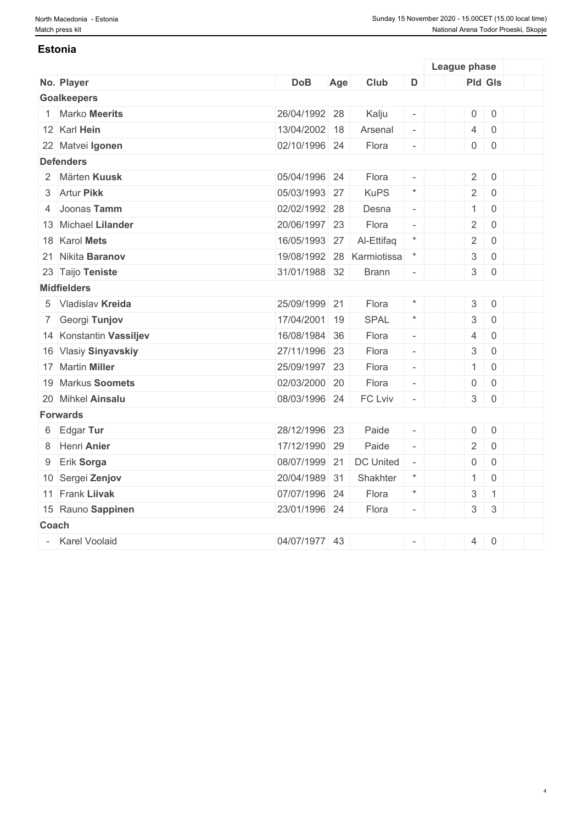#### **Estonia**

|              |                         |               |     |                  |                          | League phase              |                           |  |
|--------------|-------------------------|---------------|-----|------------------|--------------------------|---------------------------|---------------------------|--|
|              | No. Player              | <b>DoB</b>    | Age | Club             | D                        |                           | <b>Pld Gls</b>            |  |
|              | <b>Goalkeepers</b>      |               |     |                  |                          |                           |                           |  |
|              | 1 Marko Meerits         | 26/04/1992 28 |     | Kalju            | $\overline{\phantom{a}}$ | $\boldsymbol{0}$          | $\mathbf 0$               |  |
|              | 12 Karl Hein            | 13/04/2002 18 |     | Arsenal          | $\overline{\phantom{a}}$ | $\overline{4}$            | $\mathbf 0$               |  |
|              | 22 Matvei Igonen        | 02/10/1996 24 |     | Flora            | $\sim$                   | $\mathsf{O}\xspace$       | $\mathbf 0$               |  |
|              | <b>Defenders</b>        |               |     |                  |                          |                           |                           |  |
|              | 2 Märten Kuusk          | 05/04/1996 24 |     | Flora            |                          | $\overline{2}$            | $\mathbf 0$               |  |
|              | 3 Artur Pikk            | 05/03/1993 27 |     | <b>KuPS</b>      | $\star$                  | $\overline{2}$            | $\mathbf 0$               |  |
|              | 4 Joonas Tamm           | 02/02/1992 28 |     | Desna            | $\overline{\phantom{a}}$ | $\mathbf{1}$              | $\mathbf 0$               |  |
|              | 13 Michael Lilander     | 20/06/1997 23 |     | Flora            | $\overline{\phantom{a}}$ | $\overline{2}$            | $\mathbf 0$               |  |
|              | 18 Karol Mets           | 16/05/1993 27 |     | Al-Ettifaq       | $\star$                  | $\overline{2}$            | $\mathbf 0$               |  |
|              | 21 Nikita Baranov       | 19/08/1992 28 |     | Karmiotissa      | $^\ast$                  | $\ensuremath{\mathsf{3}}$ | $\mathbf 0$               |  |
|              | 23 Taijo Teniste        | 31/01/1988 32 |     | <b>Brann</b>     | $\overline{\phantom{a}}$ | $\mathfrak{S}$            | $\mathbf 0$               |  |
|              | <b>Midfielders</b>      |               |     |                  |                          |                           |                           |  |
|              | 5 Vladislav Kreida      | 25/09/1999 21 |     | Flora            | $\star$                  | $\mathfrak{S}$            | $\mathbf 0$               |  |
|              | 7 Georgi Tunjov         | 17/04/2001 19 |     | SPAL             | $\star$                  | $\ensuremath{\mathsf{3}}$ | $\mathbf 0$               |  |
|              | 14 Konstantin Vassiljev | 16/08/1984 36 |     | Flora            | $\omega$                 | $\overline{4}$            | $\overline{0}$            |  |
|              | 16 Vlasiy Sinyavskiy    | 27/11/1996 23 |     | Flora            | $\overline{\phantom{a}}$ | $\ensuremath{\mathsf{3}}$ | $\overline{0}$            |  |
|              | 17 Martin Miller        | 25/09/1997 23 |     | Flora            | $\overline{\phantom{a}}$ | $\mathbf{1}$              | $\overline{0}$            |  |
|              | 19 Markus Soomets       | 02/03/2000 20 |     | Flora            | $\overline{\phantom{a}}$ | $\mathsf{O}\xspace$       | $\mathbf 0$               |  |
|              | 20 Mihkel Ainsalu       | 08/03/1996 24 |     | FC Lviv          | $\sim$                   | $\ensuremath{\mathsf{3}}$ | $\mathbf 0$               |  |
|              | <b>Forwards</b>         |               |     |                  |                          |                           |                           |  |
|              | 6 Edgar Tur             | 28/12/1996 23 |     | Paide            | $\overline{\phantom{a}}$ | $\mathsf{O}\xspace$       | $\mathbf 0$               |  |
|              | 8 Henri Anier           | 17/12/1990 29 |     | Paide            | $\mathcal{L}$            | $\overline{2}$            | $\overline{0}$            |  |
| 9            | Erik Sorga              | 08/07/1999 21 |     | <b>DC United</b> | $\bar{a}$                | $\mathbf 0$               | $\overline{0}$            |  |
|              | 10 Sergei Zenjov        | 20/04/1989 31 |     | Shakhter         | $\star$                  | $\mathbf{1}$              | $\overline{0}$            |  |
|              | 11 Frank Liivak         | 07/07/1996 24 |     | Flora            | $\star$                  | $\ensuremath{\mathsf{3}}$ | $\mathbf{1}$              |  |
|              | 15 Rauno Sappinen       | 23/01/1996 24 |     | Flora            | $\overline{\phantom{a}}$ | $\ensuremath{\mathsf{3}}$ | $\ensuremath{\mathsf{3}}$ |  |
| <b>Coach</b> |                         |               |     |                  |                          |                           |                           |  |
|              | - Karel Voolaid         | 04/07/1977 43 |     |                  |                          | $\overline{4}$            | $\mathbf 0$               |  |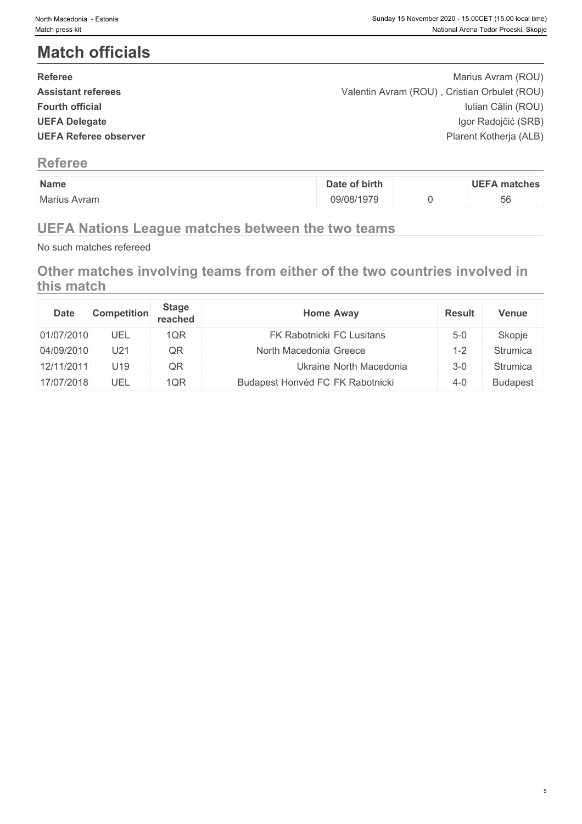# **Match officials**

| <b>Referee</b>               | Marius Avram (ROU)                           |  |
|------------------------------|----------------------------------------------|--|
| <b>Assistant referees</b>    | Valentin Avram (ROU), Cristian Orbulet (ROU) |  |
| <b>Fourth official</b>       | Iulian Călin (ROU)                           |  |
| <b>UEFA Delegate</b>         | Igor Radojčić (SRB)                          |  |
| <b>UEFA Referee observer</b> | Plarent Kotherja (ALB)                       |  |
|                              |                                              |  |

## **Referee**

| Name         | of birth<br>Date | <b>UEFA matches</b> |
|--------------|------------------|---------------------|
| Marius Avram | 09/08/1979       | $ \sim$<br>56       |

## **UEFA Nations League matches between the two teams**

No such matches refereed

## **Other matches involving teams from either of the two countries involved in this match**

| <b>Date</b> | <b>Competition</b> | <b>Stage</b><br>reached | Home Away                        |                         | <b>Result</b> | <b>Venue</b>    |
|-------------|--------------------|-------------------------|----------------------------------|-------------------------|---------------|-----------------|
| 01/07/2010  | UEL                | 1QR                     | <b>FK Rabotnicki FC Lusitans</b> |                         | $5-0$         | Skopje          |
| 04/09/2010  | U21                | QR                      | North Macedonia Greece           |                         | 1-2           | Strumica        |
| 12/11/2011  | U <sub>19</sub>    | QR                      |                                  | Ukraine North Macedonia | $3 - 0$       | Strumica        |
| 17/07/2018  | UEL                | 1QR                     | Budapest Honvéd FC FK Rabotnicki |                         | $4 - 0$       | <b>Budapest</b> |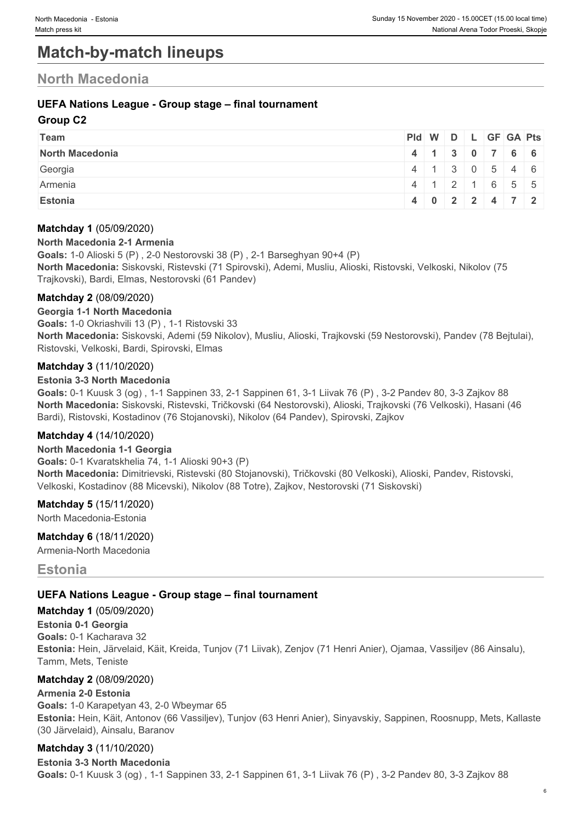## **Match-by-match lineups**

## **North Macedonia**

#### **UEFA Nations League - Group stage – final tournament**

#### **Group C2**

| Team            | Pid W D L GF GA Pts |  |  |                                               |  |
|-----------------|---------------------|--|--|-----------------------------------------------|--|
| North Macedonia |                     |  |  | 4 1 3 0 7 6 6                                 |  |
| Georgia         |                     |  |  | $4 \mid 1 \mid 3 \mid 0 \mid 5 \mid 4 \mid 6$ |  |
| Armenia         |                     |  |  | 4 1 2 1 6 5 5                                 |  |
| Estonia         |                     |  |  | 4 0 2 2 4 7 2                                 |  |

#### **Matchday 1** (05/09/2020)

#### **North Macedonia 2-1 Armenia**

**Goals:** 1-0 Alioski 5 (P) , 2-0 Nestorovski 38 (P) , 2-1 Barseghyan 90+4 (P) **North Macedonia:** Siskovski, Ristevski (71 Spirovski), Ademi, Musliu, Alioski, Ristovski, Velkoski, Nikolov (75 Trajkovski), Bardi, Elmas, Nestorovski (61 Pandev)

#### **Matchday 2** (08/09/2020)

#### **Georgia 1-1 North Macedonia**

**Goals:** 1-0 Okriashvili 13 (P) , 1-1 Ristovski 33 **North Macedonia:** Siskovski, Ademi (59 Nikolov), Musliu, Alioski, Trajkovski (59 Nestorovski), Pandev (78 Bejtulai), Ristovski, Velkoski, Bardi, Spirovski, Elmas

#### **Matchday 3** (11/10/2020)

#### **Estonia 3-3 North Macedonia**

**Goals:** 0-1 Kuusk 3 (og) , 1-1 Sappinen 33, 2-1 Sappinen 61, 3-1 Liivak 76 (P) , 3-2 Pandev 80, 3-3 Zajkov 88 **North Macedonia:** Siskovski, Ristevski, Tričkovski (64 Nestorovski), Alioski, Trajkovski (76 Velkoski), Hasani (46 Bardi), Ristovski, Kostadinov (76 Stojanovski), Nikolov (64 Pandev), Spirovski, Zajkov

#### **Matchday 4** (14/10/2020)

#### **North Macedonia 1-1 Georgia**

**Goals:** 0-1 Kvaratskhelia 74, 1-1 Alioski 90+3 (P) **North Macedonia:** Dimitrievski, Ristevski (80 Stojanovski), Tričkovski (80 Velkoski), Alioski, Pandev, Ristovski, Velkoski, Kostadinov (88 Micevski), Nikolov (88 Totre), Zajkov, Nestorovski (71 Siskovski)

#### **Matchday 5** (15/11/2020)

North Macedonia-Estonia

**Matchday 6** (18/11/2020)

Armenia-North Macedonia

### **Estonia**

#### **UEFA Nations League - Group stage – final tournament**

#### **Matchday 1** (05/09/2020)

**Estonia 0-1 Georgia Goals:** 0-1 Kacharava 32 **Estonia:** Hein, Järvelaid, Käit, Kreida, Tunjov (71 Liivak), Zenjov (71 Henri Anier), Ojamaa, Vassiljev (86 Ainsalu), Tamm, Mets, Teniste

#### **Matchday 2** (08/09/2020)

#### **Armenia 2-0 Estonia**

**Goals:** 1-0 Karapetyan 43, 2-0 Wbeymar 65 **Estonia:** Hein, Käit, Antonov (66 Vassiljev), Tunjov (63 Henri Anier), Sinyavskiy, Sappinen, Roosnupp, Mets, Kallaste (30 Järvelaid), Ainsalu, Baranov

#### **Matchday 3** (11/10/2020)

**Estonia 3-3 North Macedonia Goals:** 0-1 Kuusk 3 (og) , 1-1 Sappinen 33, 2-1 Sappinen 61, 3-1 Liivak 76 (P) , 3-2 Pandev 80, 3-3 Zajkov 88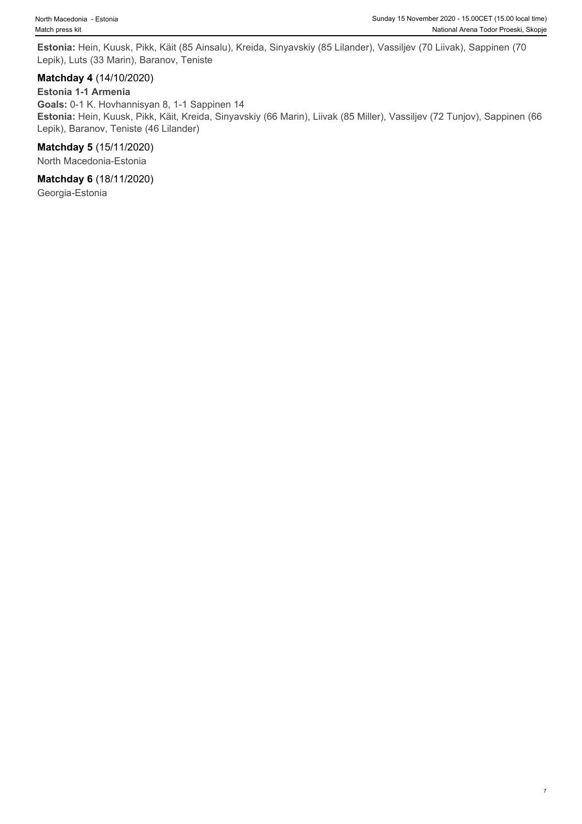**Estonia:** Hein, Kuusk, Pikk, Käit (85 Ainsalu), Kreida, Sinyavskiy (85 Lilander), Vassiljev (70 Liivak), Sappinen (70 Lepik), Luts (33 Marin), Baranov, Teniste

#### **Matchday 4** (14/10/2020)

#### **Estonia 1-1 Armenia**

**Goals:** 0-1 K. Hovhannisyan 8, 1-1 Sappinen 14 **Estonia:** Hein, Kuusk, Pikk, Käit, Kreida, Sinyavskiy (66 Marin), Liivak (85 Miller), Vassiljev (72 Tunjov), Sappinen (66 Lepik), Baranov, Teniste (46 Lilander)

#### **Matchday 5** (15/11/2020)

North Macedonia-Estonia

#### **Matchday 6** (18/11/2020)

Georgia-Estonia